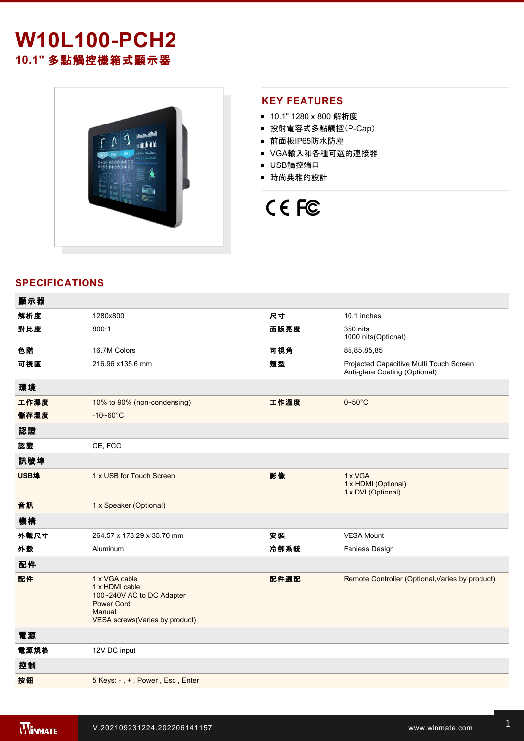# **W10L100-PCH2 10.1"** 多點觸控機箱式顯示器



## **KEY FEATURES**

- 10.1" 1280 x 800 解析度
- 投射電容式多點觸控(P-Cap)
- 前面板IP65防水防塵
- VGA輸入和各種可選的連接器
- USB觸控端口
- 時尚典雅的設計

# CE FC

# **SPECIFICATIONS**

| 顯示器  |                                                                                                                               |      |                                                                          |
|------|-------------------------------------------------------------------------------------------------------------------------------|------|--------------------------------------------------------------------------|
| 解析度  | 1280x800                                                                                                                      | 尺寸   | 10.1 inches                                                              |
| 對比度  | 800:1                                                                                                                         | 面版亮度 | 350 nits<br>1000 nits(Optional)                                          |
| 色階   | 16.7M Colors                                                                                                                  | 可視角  | 85,85,85,85                                                              |
| 可視區  | 216.96 x135.6 mm                                                                                                              | 類型   | Projected Capacitive Multi Touch Screen<br>Anti-glare Coating (Optional) |
| 環境   |                                                                                                                               |      |                                                                          |
| 工作濕度 | 10% to 90% (non-condensing)                                                                                                   | 工作溫度 | $0 \sim 50^{\circ}$ C                                                    |
| 儲存溫度 | $-10 - 60^{\circ}$ C                                                                                                          |      |                                                                          |
| 認證   |                                                                                                                               |      |                                                                          |
| 認證   | CE, FCC                                                                                                                       |      |                                                                          |
| 訊號埠  |                                                                                                                               |      |                                                                          |
| USB埠 | 1 x USB for Touch Screen                                                                                                      | 影像   | 1 x VGA<br>1 x HDMI (Optional)<br>1 x DVI (Optional)                     |
| 音訊   | 1 x Speaker (Optional)                                                                                                        |      |                                                                          |
| 機構   |                                                                                                                               |      |                                                                          |
| 外觀尺寸 | 264.57 x 173.29 x 35.70 mm                                                                                                    | 安装   | <b>VESA Mount</b>                                                        |
| 外殼   | Aluminum                                                                                                                      | 冷卻系統 | <b>Fanless Design</b>                                                    |
| 配件   |                                                                                                                               |      |                                                                          |
| 配件   | 1 x VGA cable<br>1 x HDMI cable<br>100~240V AC to DC Adapter<br><b>Power Cord</b><br>Manual<br>VESA screws(Varies by product) | 配件選配 | Remote Controller (Optional, Varies by product)                          |
| 電源   |                                                                                                                               |      |                                                                          |
| 電源規格 | 12V DC input                                                                                                                  |      |                                                                          |
| 控制   |                                                                                                                               |      |                                                                          |
| 按鈕   | 5 Keys: -, +, Power, Esc, Enter                                                                                               |      |                                                                          |
|      |                                                                                                                               |      |                                                                          |

**DIMENSIONS**  UNIT:MM